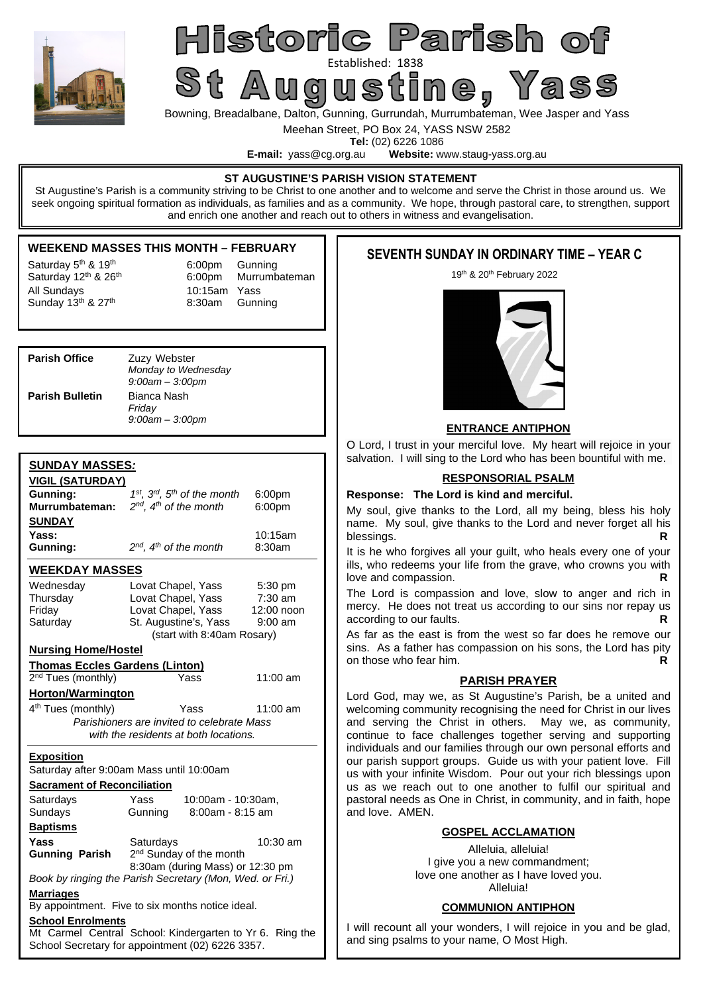

# Historic Parish of Established: 1838<br>St Augustine , Yass

Bowning, Breadalbane, Dalton, Gunning, Gurrundah, Murrumbateman, Wee Jasper and Yass

Meehan Street, PO Box 24, YASS NSW 2582

**Tel:** (02) 6226 1086<br>**E-mail:** vass@cq.org.au **Website:** w Website: www.staug-yass.org.au

#### **ST AUGUSTINE'S PARISH VISION STATEMENT**

St Augustine's Parish is a community striving to be Christ to one another and to welcome and serve the Christ in those around us. We seek ongoing spiritual formation as individuals, as families and as a community. We hope, through pastoral care, to strengthen, support and enrich one another and reach out to others in witness and evangelisation.

### **WEEKEND MASSES THIS MONTH – FEBRUARY**

Saturday  $5<sup>th</sup>$  & 19<sup>th</sup> 6:00pm Gunning All Sundays  $\begin{array}{cc}\n\text{All Sunday} \\
\text{Sunday 13} \text{th} & \text{A} \\
\text{Sunday 13} \text{th} & \text{B} \\
\text{B:30am} & \text{Gunning}\n\end{array}$ Sunday  $13<sup>th</sup>$  & 27<sup>th</sup>

Saturday 12<sup>th</sup> & 26<sup>th</sup> 6:00pm Murrumbateman

| <b>Parish Office</b>   | Zuzy Webster<br>Monday to Wednesday<br>$9:00$ am $-3:00$ pm |
|------------------------|-------------------------------------------------------------|
| <b>Parish Bulletin</b> | Bianca Nash<br>Friday<br>$9:00$ am $-3:00$ pm               |

# **SUNDAY MASSES***:*

| <u>VIGIL (SATURDAY)</u>                                  |                                                          |            |  |  |  |
|----------------------------------------------------------|----------------------------------------------------------|------------|--|--|--|
| Gunning:                                                 | 1st, 3rd, 5th of the month<br>6:00pm                     |            |  |  |  |
| Murrumbateman:                                           | $2^{nd}$ , $4^{th}$ of the month<br>6:00pm               |            |  |  |  |
| <b>SUNDAY</b>                                            |                                                          |            |  |  |  |
| Yass:                                                    | 10:15am                                                  |            |  |  |  |
| Gunning:                                                 | $2^{nd}$ , $4^{th}$ of the month                         | 8:30am     |  |  |  |
| <b>WEEKDAY MASSES</b>                                    |                                                          |            |  |  |  |
| Wednesday                                                | Lovat Chapel, Yass                                       | 5:30 pm    |  |  |  |
| Thursday                                                 | Lovat Chapel, Yass                                       | $7:30$ am  |  |  |  |
| Friday                                                   | Lovat Chapel, Yass                                       | 12:00 noon |  |  |  |
| Saturday                                                 | St. Augustine's, Yass                                    | $9:00$ am  |  |  |  |
|                                                          | (start with 8:40am Rosary)                               |            |  |  |  |
| <b>Nursing Home/Hostel</b>                               |                                                          |            |  |  |  |
| <b>Thomas Eccles Gardens (Linton)</b>                    |                                                          |            |  |  |  |
| 2 <sup>nd</sup> Tues (monthly)                           | Yass                                                     | 11:00 am   |  |  |  |
| Horton/Warmington                                        |                                                          |            |  |  |  |
| 4 <sup>th</sup> Tues (monthly)                           | Yass                                                     | $11:00$ am |  |  |  |
|                                                          | Parishioners are invited to celebrate Mass               |            |  |  |  |
|                                                          | with the residents at both locations.                    |            |  |  |  |
| <b>Exposition</b>                                        |                                                          |            |  |  |  |
|                                                          | Saturday after 9:00am Mass until 10:00am                 |            |  |  |  |
| <b>Sacrament of Reconciliation</b>                       |                                                          |            |  |  |  |
| Saturdays                                                | Yass<br>10:00am - 10:30am,                               |            |  |  |  |
| Sundays                                                  | 8:00am - 8:15 am<br>Gunning                              |            |  |  |  |
| <b>Baptisms</b>                                          |                                                          |            |  |  |  |
| Yass                                                     | Saturdays                                                | 10:30 am   |  |  |  |
| <b>Gunning Parish</b>                                    | 2 <sup>nd</sup> Sunday of the month                      |            |  |  |  |
|                                                          | 8:30am (during Mass) or 12:30 pm                         |            |  |  |  |
|                                                          | Book by ringing the Parish Secretary (Mon, Wed. or Fri.) |            |  |  |  |
| <b>Marriages</b>                                         |                                                          |            |  |  |  |
| By appointment. Five to six months notice ideal.         |                                                          |            |  |  |  |
| <b>School Enrolments</b>                                 |                                                          |            |  |  |  |
| Mt Carmel Central School: Kindergarten to Yr 6. Ring the |                                                          |            |  |  |  |
| School Secretary for appointment (02) 6226 3357.         |                                                          |            |  |  |  |

# **SEVENTH SUNDAY IN ORDINARY TIME – YEAR C**

19th & 20th February 2022



### **ENTRANCE ANTIPHON**

O Lord, I trust in your merciful love. My heart will rejoice in your salvation. I will sing to the Lord who has been bountiful with me.

### **RESPONSORIAL PSALM**

#### **Response: The Lord is kind and merciful.**

My soul, give thanks to the Lord, all my being, bless his holy name. My soul, give thanks to the Lord and never forget all his blessings.

It is he who forgives all your guilt, who heals every one of your ills, who redeems your life from the grave, who crowns you with love and compassion. **R** 

The Lord is compassion and love, slow to anger and rich in mercy. He does not treat us according to our sins nor repay us according to our faults. **R R** 

As far as the east is from the west so far does he remove our sins. As a father has compassion on his sons, the Lord has pity on those who fear him. **R**

### **PARISH PRAYER**

Lord God, may we, as St Augustine's Parish, be a united and welcoming community recognising the need for Christ in our lives and serving the Christ in others. May we, as community, continue to face challenges together serving and supporting individuals and our families through our own personal efforts and our parish support groups. Guide us with your patient love. Fill us with your infinite Wisdom. Pour out your rich blessings upon us as we reach out to one another to fulfil our spiritual and pastoral needs as One in Christ, in community, and in faith, hope and love. AMEN.

### **GOSPEL ACCLAMATION**

Alleluia, alleluia! I give you a new commandment: love one another as I have loved you. Alleluia!

### **COMMUNION ANTIPHON**

I will recount all your wonders, I will rejoice in you and be glad, and sing psalms to your name, O Most High.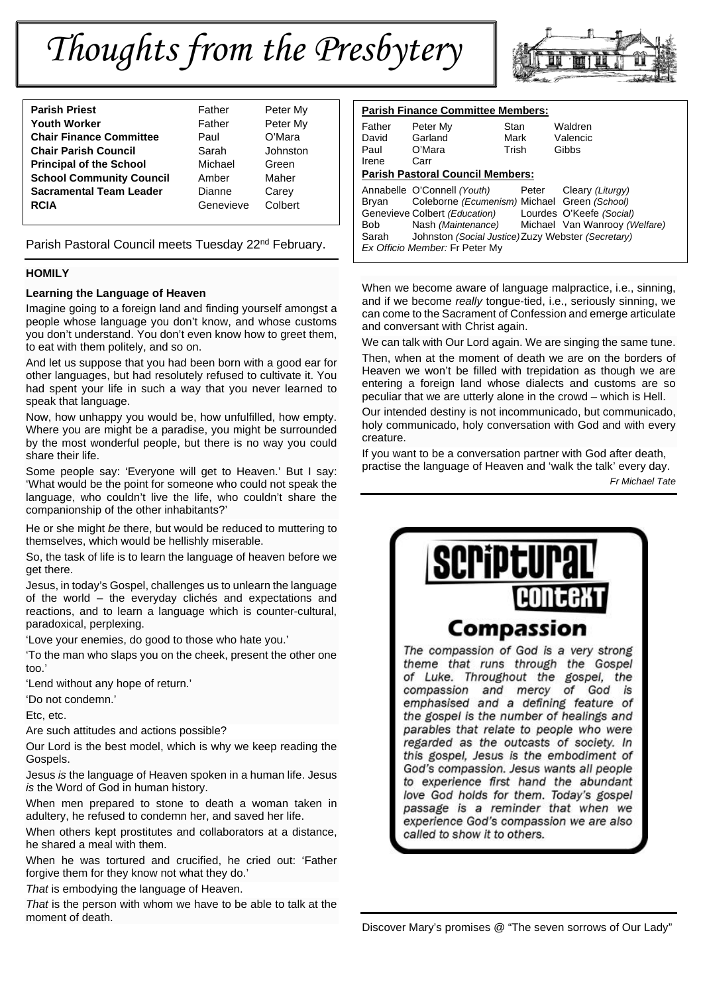# *Thoughts from the Presbytery*



Parish Pastoral Council meets Tuesday 22<sup>nd</sup> February.

### **HOMILY**

#### **Learning the Language of Heaven**

Imagine going to a foreign land and finding yourself amongst a people whose language you don't know, and whose customs you don't understand. You don't even know how to greet them, to eat with them politely, and so on.

And let us suppose that you had been born with a good ear for other languages, but had resolutely refused to cultivate it. You had spent your life in such a way that you never learned to speak that language.

Now, how unhappy you would be, how unfulfilled, how empty. Where you are might be a paradise, you might be surrounded by the most wonderful people, but there is no way you could share their life.

Some people say: 'Everyone will get to Heaven.' But I say: 'What would be the point for someone who could not speak the language, who couldn't live the life, who couldn't share the companionship of the other inhabitants?'

He or she might *be* there, but would be reduced to muttering to themselves, which would be hellishly miserable.

So, the task of life is to learn the language of heaven before we get there.

Jesus, in today's Gospel, challenges us to unlearn the language of the world – the everyday clichés and expectations and reactions, and to learn a language which is counter-cultural, paradoxical, perplexing.

'Love your enemies, do good to those who hate you.'

'To the man who slaps you on the cheek, present the other one too.'

'Lend without any hope of return.'

'Do not condemn.'

Etc, etc.

Are such attitudes and actions possible?

Our Lord is the best model, which is why we keep reading the Gospels.

Jesus *is* the language of Heaven spoken in a human life. Jesus *is* the Word of God in human history.

When men prepared to stone to death a woman taken in adultery, he refused to condemn her, and saved her life.

When others kept prostitutes and collaborators at a distance, he shared a meal with them.

When he was tortured and crucified, he cried out: 'Father forgive them for they know not what they do.'

*That* is embodying the language of Heaven.

*That* is the person with whom we have to be able to talk at the moment of death.



| <b>Parish Finance Committee Members:</b> |                                                                                                                                                                      |       |                                                                                                                                     |  |  |  |  |
|------------------------------------------|----------------------------------------------------------------------------------------------------------------------------------------------------------------------|-------|-------------------------------------------------------------------------------------------------------------------------------------|--|--|--|--|
| Father                                   | Peter My                                                                                                                                                             | Stan  | Waldren                                                                                                                             |  |  |  |  |
| David                                    | Garland                                                                                                                                                              | Mark  | Valencic                                                                                                                            |  |  |  |  |
| Paul                                     | O'Mara                                                                                                                                                               | Trish | Gibbs                                                                                                                               |  |  |  |  |
| Irene                                    | Carr                                                                                                                                                                 |       |                                                                                                                                     |  |  |  |  |
| <b>Parish Pastoral Council Members:</b>  |                                                                                                                                                                      |       |                                                                                                                                     |  |  |  |  |
| Brvan<br>Bob<br>Sarah                    | Annabelle O'Connell (Youth)<br>Coleborne (Ecumenism) Michael Green (School)<br>Genevieve Colbert (Education)<br>Nash (Maintenance)<br>Ex Officio Member: Fr Peter My | Peter | Cleary (Liturgy)<br>Lourdes O'Keefe (Social)<br>Michael Van Wanrooy (Welfare)<br>Johnston (Social Justice) Zuzy Webster (Secretary) |  |  |  |  |

When we become aware of language malpractice, i.e., sinning, and if we become *really* tongue-tied, i.e., seriously sinning, we can come to the Sacrament of Confession and emerge articulate and conversant with Christ again.

We can talk with Our Lord again. We are singing the same tune.

Then, when at the moment of death we are on the borders of Heaven we won't be filled with trepidation as though we are entering a foreign land whose dialects and customs are so peculiar that we are utterly alone in the crowd – which is Hell.

Our intended destiny is not incommunicado, but communicado, holy communicado, holy conversation with God and with every creature.

If you want to be a conversation partner with God after death, practise the language of Heaven and 'walk the talk' every day.

*Fr Michael Tate*

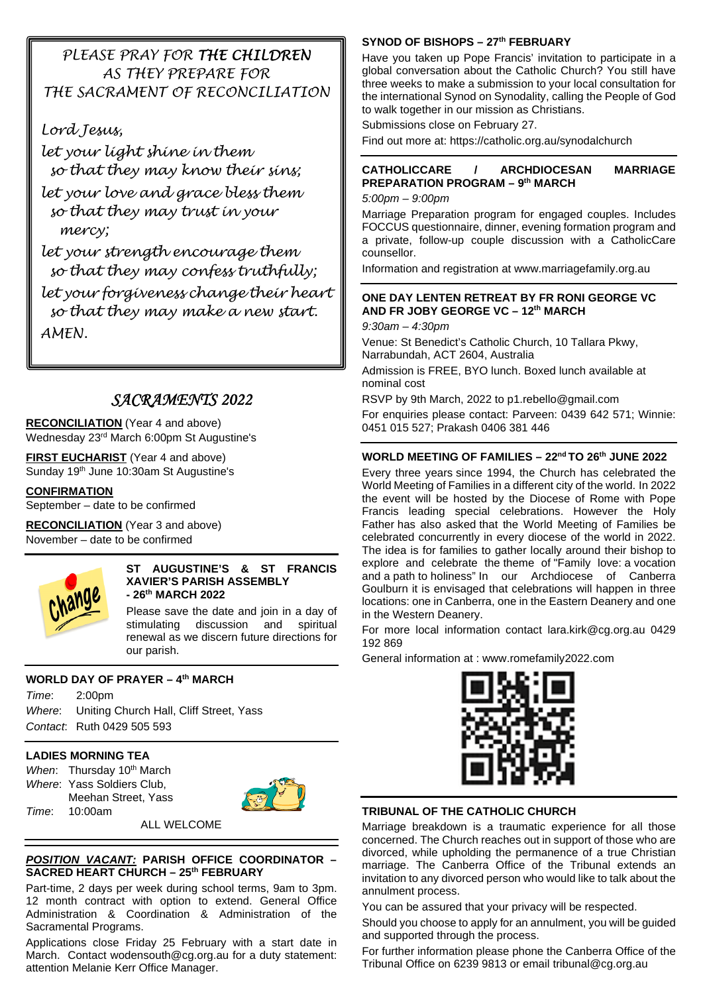# *PLEASE PRAY FOR THE CHILDREN AS THEY PREPARE FOR THE SACRAMENT OF RECONCILIATION*

*Lord Jesus,* 

*let your light shine in them so that they may know their sins;* 

*let your love and grace bless them so that they may trust in your mercy;* 

*let your strength encourage them so that they may confess truthfully; let your forgiveness change their heart so that they may make a new start. AMEN.* 

# *SACRAMENTS 2022*

**RECONCILIATION** (Year 4 and above) Wednesday 23rd March 6:00pm St Augustine's

**FIRST EUCHARIST** (Year 4 and above) Sunday 19th June 10:30am St Augustine's

# **CONFIRMATION**

September – date to be confirmed

**RECONCILIATION** (Year 3 and above) November – date to be confirmed



### **ST AUGUSTINE'S & ST FRANCIS XAVIER'S PARISH ASSEMBLY - 26th MARCH 2022**

Please save the date and join in a day of stimulating discussion and spiritual renewal as we discern future directions for our parish.

# **WORLD DAY OF PRAYER – 4th MARCH**

*Time*: 2:00pm *Where*: Uniting Church Hall, Cliff Street, Yass *Contact*: Ruth 0429 505 593

# **LADIES MORNING TEA**

*When*: Thursday 10<sup>th</sup> March *Where*: Yass Soldiers Club, Meehan Street, Yass *Time*: 10:00am



ALL WELCOME

### *POSITION VACANT:* **PARISH OFFICE COORDINATOR – SACRED HEART CHURCH – 25th FEBRUARY**

Part-time, 2 days per week during school terms, 9am to 3pm. 12 month contract with option to extend. General Office Administration & Coordination & Administration of the Sacramental Programs.

Applications close Friday 25 February with a start date in March. Contact wodensouth@cg.org.au for a duty statement: attention Melanie Kerr Office Manager.

# **SYNOD OF BISHOPS – 27th FEBRUARY**

Have you taken up Pope Francis' invitation to participate in a global conversation about the Catholic Church? You still have three weeks to make a submission to your local consultation for the international Synod on Synodality, calling the People of God to walk together in our mission as Christians.

Submissions close on February 27.

Find out more at: https://catholic.org.au/synodalchurch

# **CATHOLICCARE / ARCHDIOCESAN MARRIAGE PREPARATION PROGRAM – 9th MARCH**

*5:00pm – 9:00pm* 

Marriage Preparation program for engaged couples. Includes FOCCUS questionnaire, dinner, evening formation program and a private, follow-up couple discussion with a CatholicCare counsellor.

Information and registration at www.marriagefamily.org.au

# **ONE DAY LENTEN RETREAT BY FR RONI GEORGE VC AND FR JOBY GEORGE VC – 12th MARCH**

*9:30am – 4:30pm* 

Venue: St Benedict's Catholic Church, 10 Tallara Pkwy, Narrabundah, ACT 2604, Australia Admission is FREE, BYO lunch. Boxed lunch available at

nominal cost

RSVP by 9th March, 2022 to p1.rebello@gmail.com

For enquiries please contact: Parveen: 0439 642 571; Winnie: 0451 015 527; Prakash 0406 381 446

# **WORLD MEETING OF FAMILIES – 22nd TO 26th JUNE 2022**

Every three years since 1994, the Church has celebrated the World Meeting of Families in a different city of the world. In 2022 the event will be hosted by the Diocese of Rome with Pope Francis leading special celebrations. However the Holy Father has also asked that the World Meeting of Families be celebrated concurrently in every diocese of the world in 2022. The idea is for families to gather locally around their bishop to explore and celebrate the theme of "Family love: a vocation and a path to holiness" In our Archdiocese of Canberra Goulburn it is envisaged that celebrations will happen in three locations: one in Canberra, one in the Eastern Deanery and one in the Western Deanery.

For more local information contact lara.kirk@cg.org.au 0429 192 869

General information at : www.romefamily2022.com



# **TRIBUNAL OF THE CATHOLIC CHURCH**

Marriage breakdown is a traumatic experience for all those concerned. The Church reaches out in support of those who are divorced, while upholding the permanence of a true Christian marriage. The Canberra Office of the Tribunal extends an invitation to any divorced person who would like to talk about the annulment process.

You can be assured that your privacy will be respected.

Should you choose to apply for an annulment, you will be guided and supported through the process.

For further information please phone the Canberra Office of the Tribunal Office on 6239 9813 or email tribunal@cg.org.au